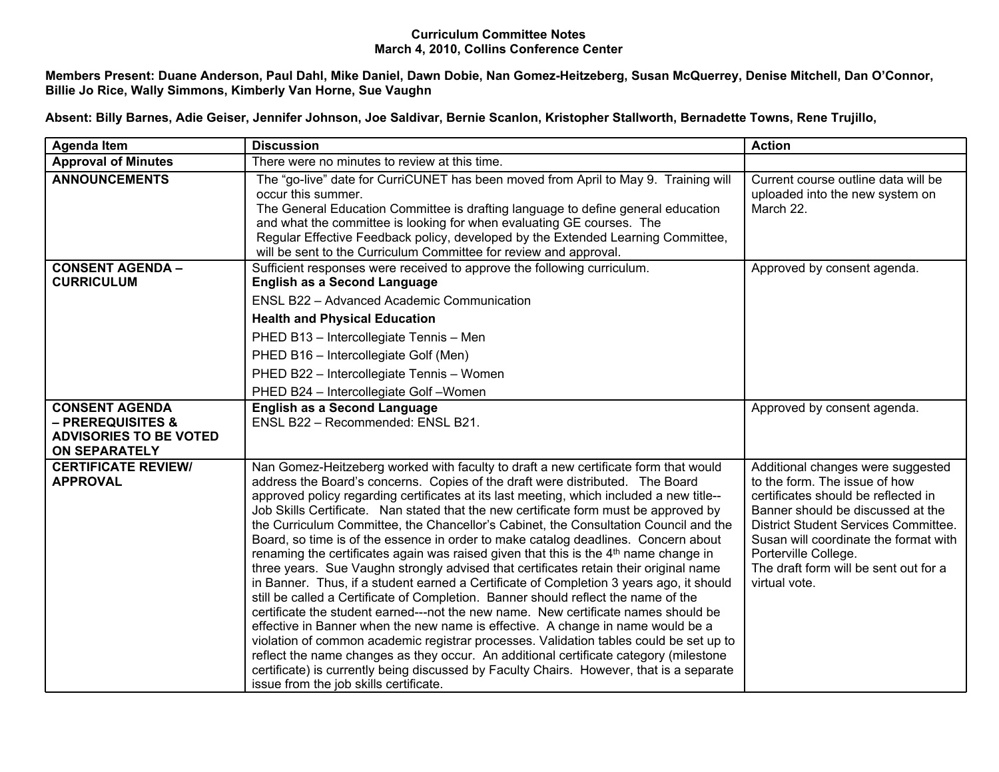## **Curriculum Committee Notes March 4, 2010, Collins Conference Center**

Members Present: Duane Anderson, Paul Dahl, Mike Daniel, Dawn Dobie, Nan Gomez-Heitzeberg, Susan McQuerrey, Denise Mitchell, Dan O'Connor, **Billie Jo Rice, Wally Simmons, Kimberly Van Horne, Sue Vaughn**

Absent: Billy Barnes, Adie Geiser, Jennifer Johnson, Joe Saldivar, Bernie Scanlon, Kristopher Stallworth, Bernadette Towns, Rene Trujillo,

| <b>Agenda Item</b>                                                                                             | <b>Discussion</b>                                                                                                                                                                                                                                                                                                                                                                                                                                                                                                                                                                                                                                                                                                                                                                                                                                                                                                                                                                                                                                                                                                                                                                                                                                                                                                                                                                                                      | <b>Action</b>                                                                                                                                                                                                                                                                                                     |
|----------------------------------------------------------------------------------------------------------------|------------------------------------------------------------------------------------------------------------------------------------------------------------------------------------------------------------------------------------------------------------------------------------------------------------------------------------------------------------------------------------------------------------------------------------------------------------------------------------------------------------------------------------------------------------------------------------------------------------------------------------------------------------------------------------------------------------------------------------------------------------------------------------------------------------------------------------------------------------------------------------------------------------------------------------------------------------------------------------------------------------------------------------------------------------------------------------------------------------------------------------------------------------------------------------------------------------------------------------------------------------------------------------------------------------------------------------------------------------------------------------------------------------------------|-------------------------------------------------------------------------------------------------------------------------------------------------------------------------------------------------------------------------------------------------------------------------------------------------------------------|
| <b>Approval of Minutes</b>                                                                                     | There were no minutes to review at this time.                                                                                                                                                                                                                                                                                                                                                                                                                                                                                                                                                                                                                                                                                                                                                                                                                                                                                                                                                                                                                                                                                                                                                                                                                                                                                                                                                                          |                                                                                                                                                                                                                                                                                                                   |
| <b>ANNOUNCEMENTS</b>                                                                                           | The "go-live" date for CurriCUNET has been moved from April to May 9. Training will<br>occur this summer.<br>The General Education Committee is drafting language to define general education<br>and what the committee is looking for when evaluating GE courses. The<br>Regular Effective Feedback policy, developed by the Extended Learning Committee,<br>will be sent to the Curriculum Committee for review and approval.                                                                                                                                                                                                                                                                                                                                                                                                                                                                                                                                                                                                                                                                                                                                                                                                                                                                                                                                                                                        | Current course outline data will be<br>uploaded into the new system on<br>March 22.                                                                                                                                                                                                                               |
| <b>CONSENT AGENDA -</b><br><b>CURRICULUM</b>                                                                   | Sufficient responses were received to approve the following curriculum.<br><b>English as a Second Language</b><br><b>ENSL B22 - Advanced Academic Communication</b><br><b>Health and Physical Education</b>                                                                                                                                                                                                                                                                                                                                                                                                                                                                                                                                                                                                                                                                                                                                                                                                                                                                                                                                                                                                                                                                                                                                                                                                            | Approved by consent agenda.                                                                                                                                                                                                                                                                                       |
|                                                                                                                | PHED B13 - Intercollegiate Tennis - Men<br>PHED B16 - Intercollegiate Golf (Men)<br>PHED B22 - Intercollegiate Tennis - Women<br>PHED B24 - Intercollegiate Golf - Women                                                                                                                                                                                                                                                                                                                                                                                                                                                                                                                                                                                                                                                                                                                                                                                                                                                                                                                                                                                                                                                                                                                                                                                                                                               |                                                                                                                                                                                                                                                                                                                   |
| <b>CONSENT AGENDA</b><br><b>- PREREQUISITES &amp;</b><br><b>ADVISORIES TO BE VOTED</b><br><b>ON SEPARATELY</b> | <b>English as a Second Language</b><br>ENSL B22 - Recommended: ENSL B21.                                                                                                                                                                                                                                                                                                                                                                                                                                                                                                                                                                                                                                                                                                                                                                                                                                                                                                                                                                                                                                                                                                                                                                                                                                                                                                                                               | Approved by consent agenda.                                                                                                                                                                                                                                                                                       |
| <b>CERTIFICATE REVIEW/</b><br><b>APPROVAL</b>                                                                  | Nan Gomez-Heitzeberg worked with faculty to draft a new certificate form that would<br>address the Board's concerns. Copies of the draft were distributed. The Board<br>approved policy regarding certificates at its last meeting, which included a new title--<br>Job Skills Certificate. Nan stated that the new certificate form must be approved by<br>the Curriculum Committee, the Chancellor's Cabinet, the Consultation Council and the<br>Board, so time is of the essence in order to make catalog deadlines. Concern about<br>renaming the certificates again was raised given that this is the 4 <sup>th</sup> name change in<br>three years. Sue Vaughn strongly advised that certificates retain their original name<br>in Banner. Thus, if a student earned a Certificate of Completion 3 years ago, it should<br>still be called a Certificate of Completion. Banner should reflect the name of the<br>certificate the student earned---not the new name. New certificate names should be<br>effective in Banner when the new name is effective. A change in name would be a<br>violation of common academic registrar processes. Validation tables could be set up to<br>reflect the name changes as they occur. An additional certificate category (milestone<br>certificate) is currently being discussed by Faculty Chairs. However, that is a separate<br>issue from the job skills certificate. | Additional changes were suggested<br>to the form. The issue of how<br>certificates should be reflected in<br>Banner should be discussed at the<br>District Student Services Committee.<br>Susan will coordinate the format with<br>Porterville College.<br>The draft form will be sent out for a<br>virtual vote. |